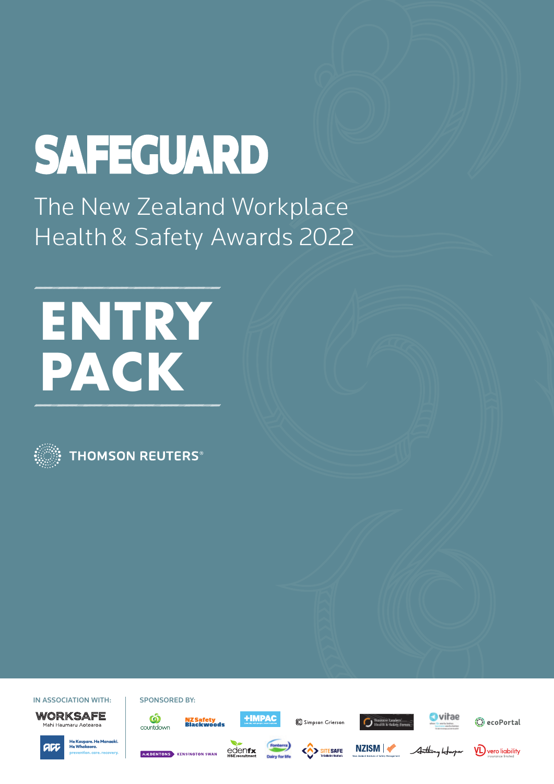# SAFEGUARD

The New Zealand Workplace Health & Safety Awards 2022

# **ENTRY PACK**



**THOMSON REUTERS®** 

IN ASSOCIATION WITH: | SPONSORED BY: WORKSAFE

Mahi Haumaru Aotearoa

 $\bf \hat{\bm{\omega}}$ 

countdown













**EXPENSIVE KENSINGTON SWAN** 

edenfx



<<>>SITESAFE



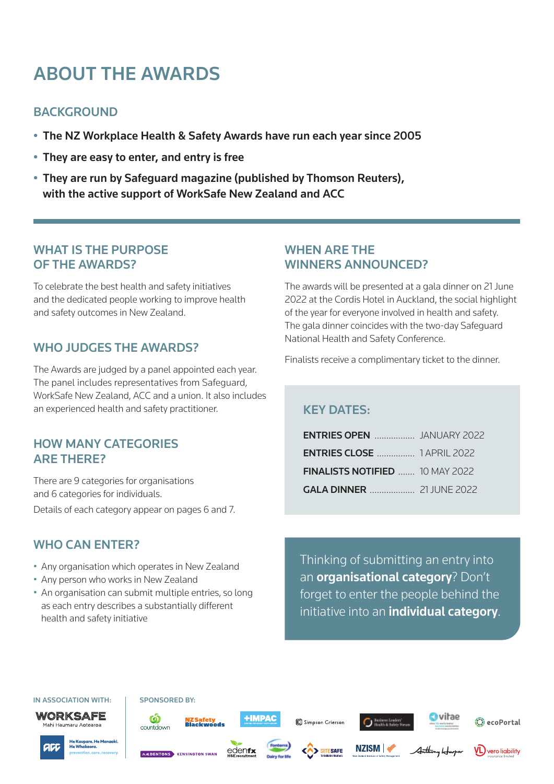# ABOUT THE AWARDS

# **BACKGROUND**

- The NZ Workplace Health & Safety Awards have run each year since 2005
- They are easy to enter, and entry is free
- They are run by Safeguard magazine (published by Thomson Reuters), with the active support of WorkSafe New Zealand and ACC

# WHAT IS THE PURPOSE OF THE AWARDS?

To celebrate the best health and safety initiatives and the dedicated people working to improve health and safety outcomes in New Zealand.

# WHO JUDGES THE AWARDS?

The Awards are judged by a panel appointed each year. The panel includes representatives from Safeguard, WorkSafe New Zealand, ACC and a union. It also includes an experienced health and safety practitioner.

## HOW MANY CATEGORIES ARE THERE?

There are 9 categories for organisations and 6 categories for individuals. Details of each category appear on pages 6 and 7.

# WHO CAN ENTER?

- Any organisation which operates in New Zealand
- Any person who works in New Zealand
- An organisation can submit multiple entries, so long as each entry describes a substantially different health and safety initiative

## WHEN ARE THE WINNERS ANNOUNCED?

The awards will be presented at a gala dinner on 21 June 2022 at the Cordis Hotel in Auckland, the social highlight of the year for everyone involved in health and safety. The gala dinner coincides with the two-day Safeguard National Health and Safety Conference.

Finalists receive a complimentary ticket to the dinner.

# KEY DATES:

| <b>ENTRIES CLOSE </b> 1 APRIL 2022 |  |
|------------------------------------|--|
| FINALISTS NOTIFIED  10 MAY 2022    |  |
|                                    |  |

Thinking of submitting an entry into an organisational category? Don't forget to enter the people behind the initiative into an *individual category*.

#### IN ASSOCIATION WITH: | SPONSORED BY:



 $\tilde{\bm{\omega}}$ 

countdown



**EXPENSIVE KENSINGTON SWAN** 

**+IMPAC** <mark>NZ Safety</mark><br>Blackwoods

edenfx

Simpson Grierson

**SITESAFE** 





A<del>ntho</del>ny II



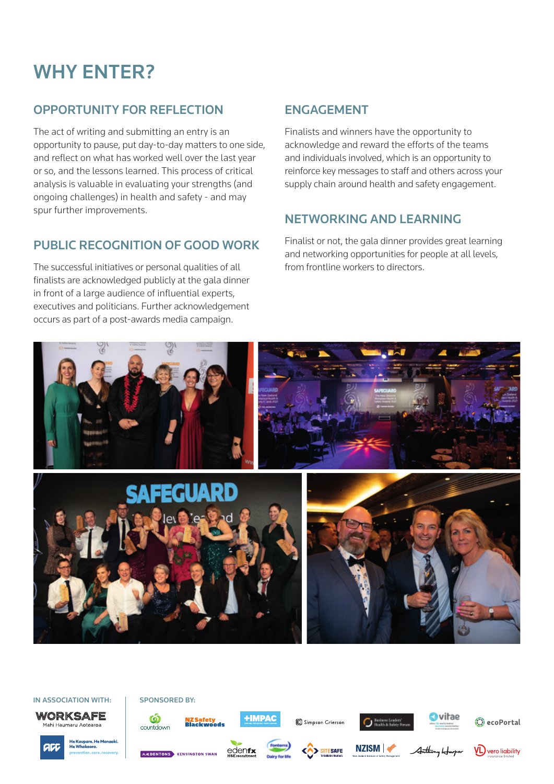# WHY ENTER?

# OPPORTUNITY FOR REFLECTION

The act of writing and submitting an entry is an opportunity to pause, put day-to-day matters to one side, and reflect on what has worked well over the last year or so, and the lessons learned. This process of critical analysis is valuable in evaluating your strengths (and ongoing challenges) in health and safety - and may spur further improvements.

# PUBLIC RECOGNITION OF GOOD WORK

The successful initiatives or personal qualities of all finalists are acknowledged publicly at the gala dinner in front of a large audience of influential experts, executives and politicians. Further acknowledgement occurs as part of a post-awards media campaign.

# ENGAGEMENT

Finalists and winners have the opportunity to acknowledge and reward the efforts of the teams and individuals involved, which is an opportunity to reinforce key messages to staff and others across your supply chain around health and safety engagement.

# NETWORKING AND LEARNING

Finalist or not, the gala dinner provides great learning and networking opportunities for people at all levels, from frontline workers to directors.



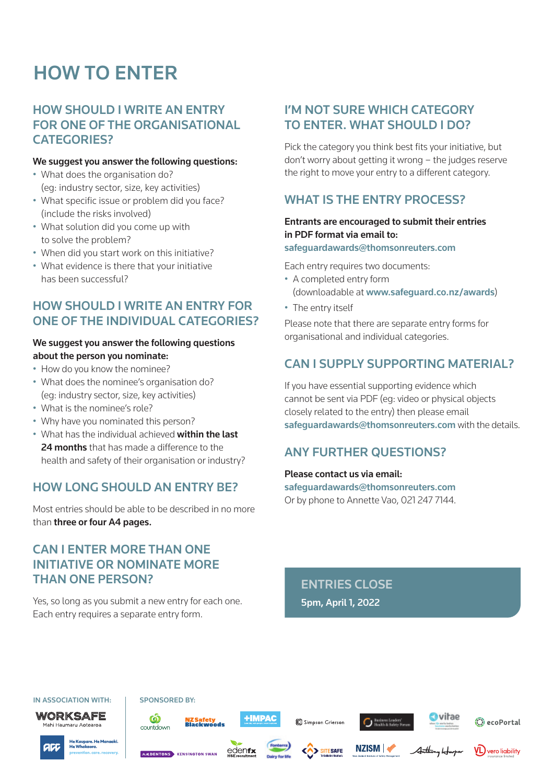# HOW TO ENTER

# HOW SHOULD I WRITE AN ENTRY FOR ONE OF THE ORGANISATIONAL CATEGORIES?

### We suggest you answer the following questions:

- What does the organisation do? (eg: industry sector, size, key activities)
- What specific issue or problem did you face? (include the risks involved)
- What solution did you come up with to solve the problem?
- When did you start work on this initiative?
- What evidence is there that your initiative has been successful?

# HOW SHOULD I WRITE AN ENTRY FOR ONE OF THE INDIVIDUAL CATEGORIES?

### We suggest you answer the following questions about the person you nominate:

- How do you know the nominee?
- What does the nominee's organisation do? (eg: industry sector, size, key activities)
- What is the nominee's role?
- Why have you nominated this person?
- What has the individual achieved within the last 24 months that has made a difference to the health and safety of their organisation or industry?

### HOW LONG SHOULD AN ENTRY RE?

Most entries should be able to be described in no more than three or four A4 pages.

# CAN I ENTER MORE THAN ONE INITIATIVE OR NOMINATE MORE THAN ONE PERSON?

Yes, so long as you submit a new entry for each one. Each entry requires a separate entry form.

# I'M NOT SURE WHICH CATEGORY TO ENTER. WHAT SHOULD I DO?

Pick the category you think best fits your initiative, but don't worry about getting it wrong – the judges reserve the right to move your entry to a different category.

# WHAT IS THE ENTRY PROCESS?

### Entrants are encouraged to submit their entries in PDF format via email to:

#### safeguardawards@thomsonreuters.com

Each entry requires two documents:

- A completed entry form (downloadable at www.safeguard.co.nz/awards)
- The entry itself

Please note that there are separate entry forms for organisational and individual categories.

# CAN I SUPPLY SUPPORTING MATERIAL?

If you have essential supporting evidence which cannot be sent via PDF (eg: video or physical objects closely related to the entry) then please email safeguardawards@thomsonreuters.com with the details.

# ANY FURTHER QUESTIONS?

### Please contact us via email:

safeguardawards@thomsonreuters.com Or by phone to Annette Vao, 021 247 7144.

ENTRIES CLOSE 5pm, April 1, 2022



**C**ecoPortal



Mahi Haumaru Aotearoa

**EXAMPLE NTONS** KENSINGTON SWAN





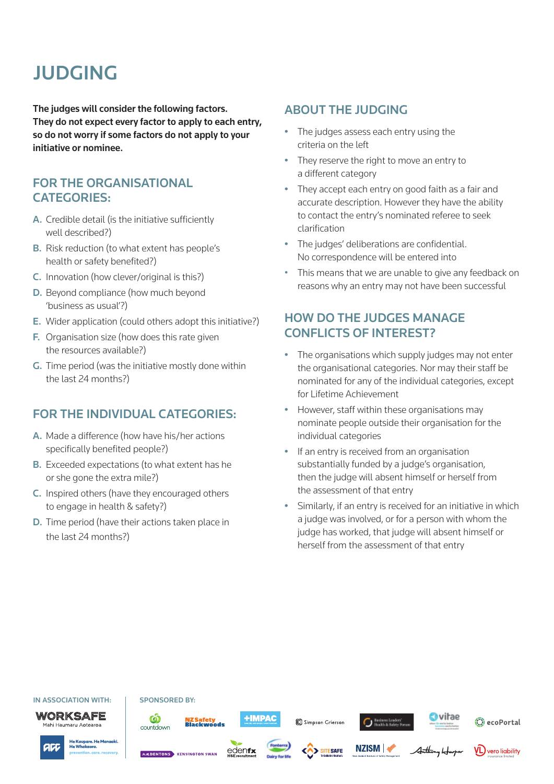# JUDGING

The judges will consider the following factors. They do not expect every factor to apply to each entry, so do not worry if some factors do not apply to your initiative or nominee.

# FOR THE ORGANISATIONAL CATEGORIES:

- A. Credible detail (is the initiative sufficiently well described?)
- B. Risk reduction (to what extent has people's health or safety benefited?)
- C. Innovation (how clever/original is this?)
- D. Beyond compliance (how much beyond 'business as usual'?)
- E. Wider application (could others adopt this initiative?)
- F. Organisation size (how does this rate given the resources available?)
- G. Time period (was the initiative mostly done within the last 24 months?)

### FOR THE INDIVIDUAL CATEGORIES:

- A. Made a difference (how have his/her actions specifically benefited people?)
- B. Exceeded expectations (to what extent has he or she gone the extra mile?)
- C. Inspired others (have they encouraged others to engage in health & safety?)
- D. Time period (have their actions taken place in the last 24 months?)

### ABOUT THE JUDGING

- The judges assess each entry using the criteria on the left
- They reserve the right to move an entry to a different category
- They accept each entry on good faith as a fair and accurate description. However they have the ability to contact the entry's nominated referee to seek clarification
- The judges' deliberations are confidential. No correspondence will be entered into
- This means that we are unable to give any feedback on reasons why an entry may not have been successful

# HOW DO THE JUDGES MANAGE CONFLICTS OF INTEREST?

- The organisations which supply judges may not enter the organisational categories. Nor may their staff be nominated for any of the individual categories, except for Lifetime Achievement
- However, staff within these organisations may nominate people outside their organisation for the individual categories
- If an entry is received from an organisation substantially funded by a judge's organisation, then the judge will absent himself or herself from the assessment of that entry
- Similarly, if an entry is received for an initiative in which a judge was involved, or for a person with whom the judge has worked, that judge will absent himself or herself from the assessment of that entry

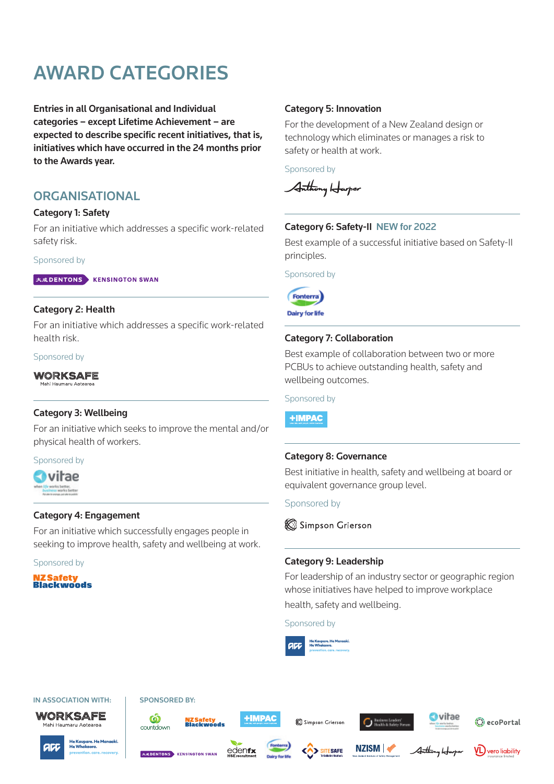# AWARD CATEGORIES

Entries in all Organisational and Individual categories – except Lifetime Achievement – are expected to describe specific recent initiatives, that is, initiatives which have occurred in the 24 months prior to the Awards year.

### **ORGANISATIONAL**

### Category 1: Safety

For an initiative which addresses a specific work-related safety risk.

#### Sponsored by

大成DENTONS KENSINGTON SWAN

### Category 2: Health

For an initiative which addresses a specific work-related health risk.

#### Sponsored by

WORKSAFE

### Category 3: Wellbeing

For an initiative which seeks to improve the mental and/or physical health of workers.

#### Sponsored by



### Category 4: Engagement

For an initiative which successfully engages people in seeking to improve health, safety and wellbeing at work.

Sponsored by

**ZSafety Blackwoods** 

### Category 5: Innovation

For the development of a New Zealand design or technology which eliminates or manages a risk to safety or health at work.

Sponsored by

Anthony Harper

### Category 6: Safety-II NEW for 2022

Best example of a successful initiative based on Safety-II principles.

Sponsored by



**Dairy for life** 

### Category 7: Collaboration

Best example of collaboration between two or more PCBUs to achieve outstanding health, safety and wellbeing outcomes.

Sponsored by

**+IMPAC** 

### Category 8: Governance

Best initiative in health, safety and wellbeing at board or equivalent governance group level.

Sponsored by

Simpson Grierson

### Category 9: Leadership

For leadership of an industry sector or geographic region whose initiatives have helped to improve workplace health, safety and wellbeing.

Sponsored by



SITESAFE

### IN ASSOCIATION WITH: | SPONSORED BY: WORKSAFE

Mahi Haumaru Aotearoa

acc



**EXPENSIVE KENSINGTON SWAN** 

 $\bf \Phi$ 

countdown



edenfx







A<del>nthony</del> Ho



He Kaupare. He Ma<br>He Whakaora.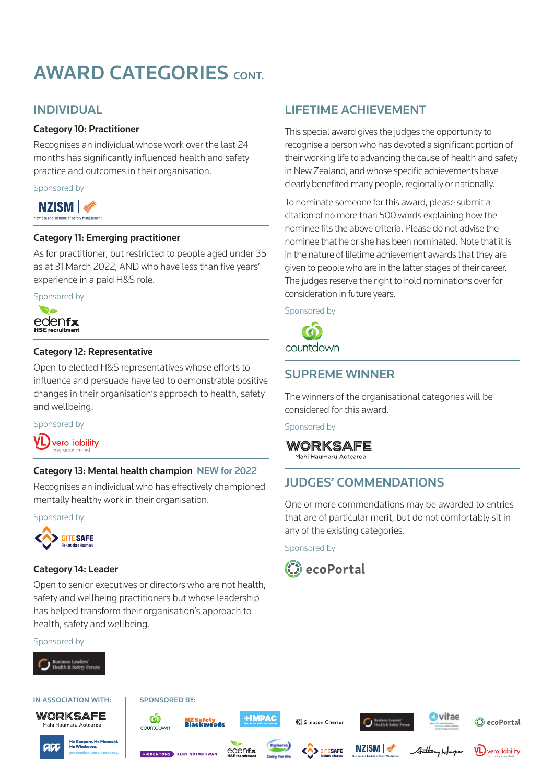# AWARD CATEGORIES CONT.

# INDIVIDUAL

### Category 10: Practitioner

Recognises an individual whose work over the last 24 months has significantly influenced health and safety practice and outcomes in their organisation.

Sponsored by



### Category 11: Emerging practitioner

As for practitioner, but restricted to people aged under 35 as at 31 March 2022, AND who have less than five years' experience in a paid H&S role.



### Category 12: Representative

Open to elected H&S representatives whose efforts to influence and persuade have led to demonstrable positive changes in their organisation's approach to health, safety and wellbeing.

Sponsored by

vero liability

### Category 13: Mental health champion NEW for 2022

Recognises an individual who has effectively championed mentally healthy work in their organisation.

### Sponsored by



### Category 14: Leader

Open to senior executives or directors who are not health, safety and wellbeing practitioners but whose leadership has helped transform their organisation's approach to health, safety and wellbeing.

Sponsored by



### IN ASSOCIATION WITH: I SPONSORED BY: WORKSAFE

Mahi Haumaru Aotearoa



 $\bf \Phi$ 



countdown edenfx **EXPENSIVE KENSINGTON SWAN** 





Ò.

**SITESAFE** 

# **C** Basiness Leads NZISM |



A<del>nthony</del> H



 $VD$  vero liability

# LIFETIME ACHIEVEMENT

This special award gives the judges the opportunity to recognise a person who has devoted a significant portion of their working life to advancing the cause of health and safety in New Zealand, and whose specific achievements have clearly benefited many people, regionally or nationally.

To nominate someone for this award, please submit a citation of no more than 500 words explaining how the nominee fits the above criteria. Please do not advise the nominee that he or she has been nominated. Note that it is in the nature of lifetime achievement awards that they are given to people who are in the latter stages of their career. The judges reserve the right to hold nominations over for consideration in future years.

Sponsored by



## SUPREME WINNER

The winners of the organisational categories will be considered for this award.

Sponsored by

WORKSAFE

Mahi Haumaru Aotearoa

# JUDGES' COMMENDATIONS

One or more commendations may be awarded to entries that are of particular merit, but do not comfortably sit in any of the existing categories.

Sponsored by